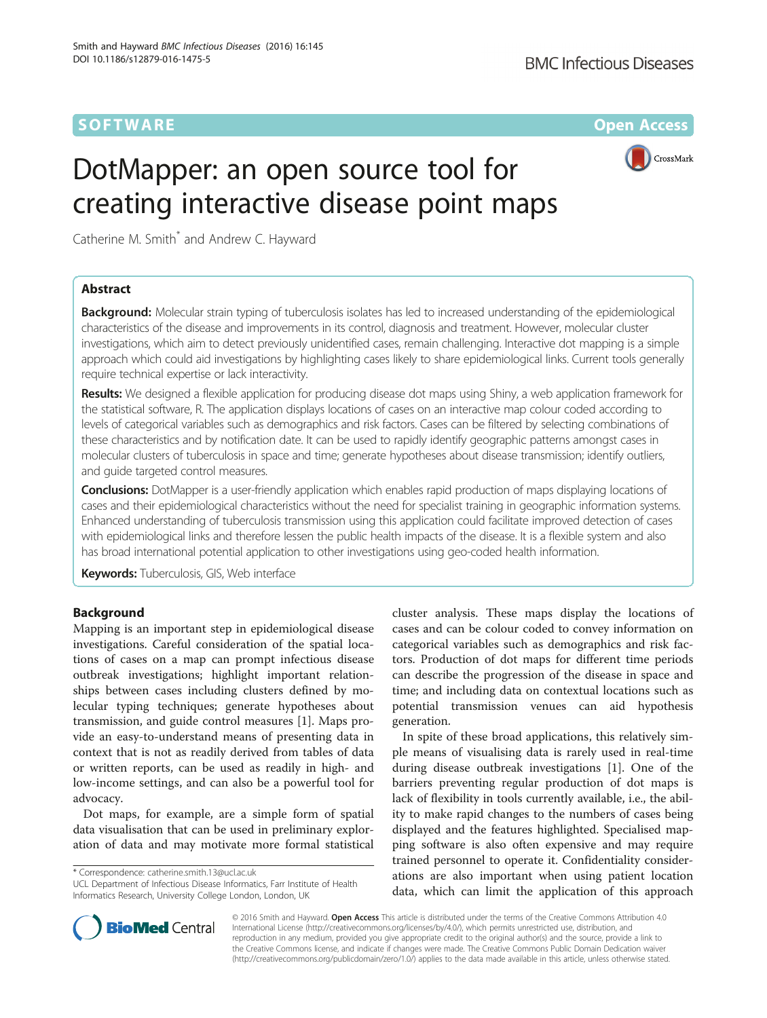

# DotMapper: an open source tool for creating interactive disease point maps

Catherine M. Smith<sup>\*</sup> and Andrew C. Hayward

# Abstract

**Background:** Molecular strain typing of tuberculosis isolates has led to increased understanding of the epidemiological characteristics of the disease and improvements in its control, diagnosis and treatment. However, molecular cluster investigations, which aim to detect previously unidentified cases, remain challenging. Interactive dot mapping is a simple approach which could aid investigations by highlighting cases likely to share epidemiological links. Current tools generally require technical expertise or lack interactivity.

Results: We designed a flexible application for producing disease dot maps using Shiny, a web application framework for the statistical software, R. The application displays locations of cases on an interactive map colour coded according to levels of categorical variables such as demographics and risk factors. Cases can be filtered by selecting combinations of these characteristics and by notification date. It can be used to rapidly identify geographic patterns amongst cases in molecular clusters of tuberculosis in space and time; generate hypotheses about disease transmission; identify outliers, and guide targeted control measures.

Conclusions: DotMapper is a user-friendly application which enables rapid production of maps displaying locations of cases and their epidemiological characteristics without the need for specialist training in geographic information systems. Enhanced understanding of tuberculosis transmission using this application could facilitate improved detection of cases with epidemiological links and therefore lessen the public health impacts of the disease. It is a flexible system and also has broad international potential application to other investigations using geo-coded health information.

Keywords: Tuberculosis, GIS, Web interface

## Background

Mapping is an important step in epidemiological disease investigations. Careful consideration of the spatial locations of cases on a map can prompt infectious disease outbreak investigations; highlight important relationships between cases including clusters defined by molecular typing techniques; generate hypotheses about transmission, and guide control measures [\[1\]](#page-5-0). Maps provide an easy-to-understand means of presenting data in context that is not as readily derived from tables of data or written reports, can be used as readily in high- and low-income settings, and can also be a powerful tool for advocacy.

Dot maps, for example, are a simple form of spatial data visualisation that can be used in preliminary exploration of data and may motivate more formal statistical

\* Correspondence: [catherine.smith.13@ucl.ac.uk](mailto:catherine.smith.13@ucl.ac.uk)

cluster analysis. These maps display the locations of cases and can be colour coded to convey information on categorical variables such as demographics and risk factors. Production of dot maps for different time periods can describe the progression of the disease in space and time; and including data on contextual locations such as potential transmission venues can aid hypothesis generation.

In spite of these broad applications, this relatively simple means of visualising data is rarely used in real-time during disease outbreak investigations [[1\]](#page-5-0). One of the barriers preventing regular production of dot maps is lack of flexibility in tools currently available, i.e., the ability to make rapid changes to the numbers of cases being displayed and the features highlighted. Specialised mapping software is also often expensive and may require trained personnel to operate it. Confidentiality considerations are also important when using patient location data, which can limit the application of this approach



© 2016 Smith and Hayward. Open Access This article is distributed under the terms of the Creative Commons Attribution 4.0 International License [\(http://creativecommons.org/licenses/by/4.0/](http://creativecommons.org/licenses/by/4.0/)), which permits unrestricted use, distribution, and reproduction in any medium, provided you give appropriate credit to the original author(s) and the source, provide a link to the Creative Commons license, and indicate if changes were made. The Creative Commons Public Domain Dedication waiver [\(http://creativecommons.org/publicdomain/zero/1.0/](http://creativecommons.org/publicdomain/zero/1.0/)) applies to the data made available in this article, unless otherwise stated.

UCL Department of Infectious Disease Informatics, Farr Institute of Health Informatics Research, University College London, London, UK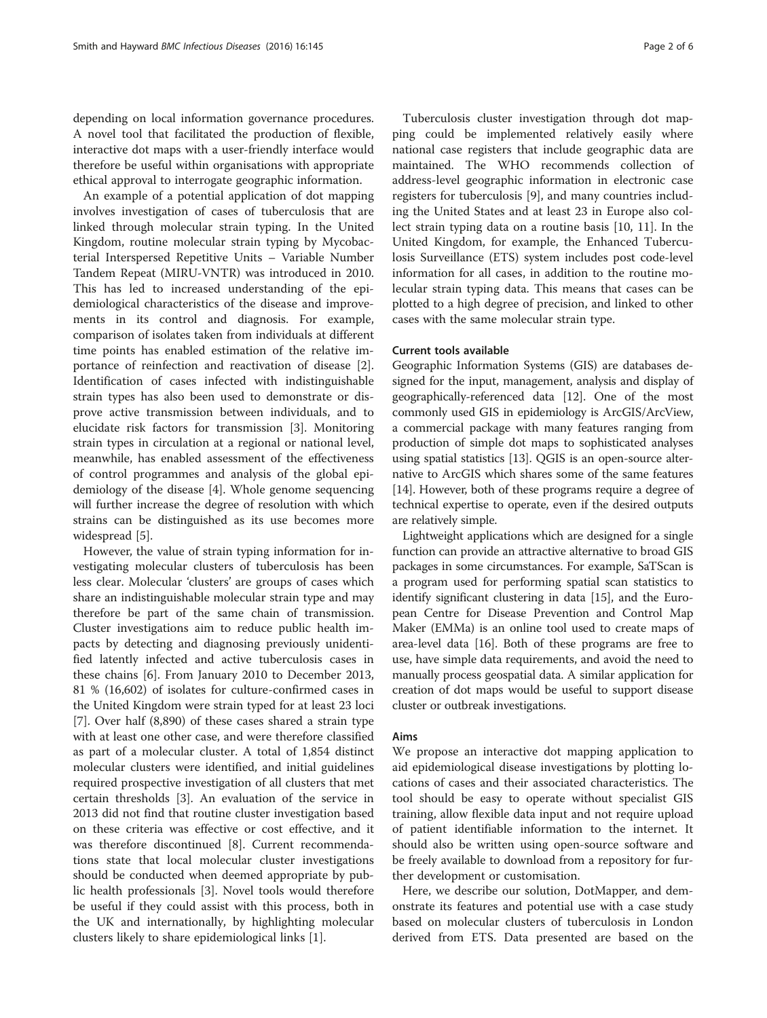depending on local information governance procedures. A novel tool that facilitated the production of flexible, interactive dot maps with a user-friendly interface would therefore be useful within organisations with appropriate ethical approval to interrogate geographic information.

An example of a potential application of dot mapping involves investigation of cases of tuberculosis that are linked through molecular strain typing. In the United Kingdom, routine molecular strain typing by Mycobacterial Interspersed Repetitive Units – Variable Number Tandem Repeat (MIRU-VNTR) was introduced in 2010. This has led to increased understanding of the epidemiological characteristics of the disease and improvements in its control and diagnosis. For example, comparison of isolates taken from individuals at different time points has enabled estimation of the relative importance of reinfection and reactivation of disease [\[2](#page-5-0)]. Identification of cases infected with indistinguishable strain types has also been used to demonstrate or disprove active transmission between individuals, and to elucidate risk factors for transmission [\[3](#page-5-0)]. Monitoring strain types in circulation at a regional or national level, meanwhile, has enabled assessment of the effectiveness of control programmes and analysis of the global epidemiology of the disease [\[4\]](#page-5-0). Whole genome sequencing will further increase the degree of resolution with which strains can be distinguished as its use becomes more widespread [[5](#page-5-0)].

However, the value of strain typing information for investigating molecular clusters of tuberculosis has been less clear. Molecular 'clusters' are groups of cases which share an indistinguishable molecular strain type and may therefore be part of the same chain of transmission. Cluster investigations aim to reduce public health impacts by detecting and diagnosing previously unidentified latently infected and active tuberculosis cases in these chains [\[6](#page-5-0)]. From January 2010 to December 2013, 81 % (16,602) of isolates for culture-confirmed cases in the United Kingdom were strain typed for at least 23 loci [[7\]](#page-5-0). Over half (8,890) of these cases shared a strain type with at least one other case, and were therefore classified as part of a molecular cluster. A total of 1,854 distinct molecular clusters were identified, and initial guidelines required prospective investigation of all clusters that met certain thresholds [[3\]](#page-5-0). An evaluation of the service in 2013 did not find that routine cluster investigation based on these criteria was effective or cost effective, and it was therefore discontinued [\[8](#page-5-0)]. Current recommendations state that local molecular cluster investigations should be conducted when deemed appropriate by public health professionals [[3\]](#page-5-0). Novel tools would therefore be useful if they could assist with this process, both in the UK and internationally, by highlighting molecular clusters likely to share epidemiological links [\[1\]](#page-5-0).

Tuberculosis cluster investigation through dot mapping could be implemented relatively easily where national case registers that include geographic data are maintained. The WHO recommends collection of address-level geographic information in electronic case registers for tuberculosis [[9\]](#page-5-0), and many countries including the United States and at least 23 in Europe also collect strain typing data on a routine basis [[10, 11\]](#page-5-0). In the United Kingdom, for example, the Enhanced Tuberculosis Surveillance (ETS) system includes post code-level information for all cases, in addition to the routine molecular strain typing data. This means that cases can be plotted to a high degree of precision, and linked to other cases with the same molecular strain type.

#### Current tools available

Geographic Information Systems (GIS) are databases designed for the input, management, analysis and display of geographically-referenced data [\[12\]](#page-5-0). One of the most commonly used GIS in epidemiology is ArcGIS/ArcView, a commercial package with many features ranging from production of simple dot maps to sophisticated analyses using spatial statistics [\[13\]](#page-5-0). QGIS is an open-source alternative to ArcGIS which shares some of the same features [[14](#page-5-0)]. However, both of these programs require a degree of technical expertise to operate, even if the desired outputs are relatively simple.

Lightweight applications which are designed for a single function can provide an attractive alternative to broad GIS packages in some circumstances. For example, SaTScan is a program used for performing spatial scan statistics to identify significant clustering in data [[15](#page-5-0)], and the European Centre for Disease Prevention and Control Map Maker (EMMa) is an online tool used to create maps of area-level data [[16](#page-5-0)]. Both of these programs are free to use, have simple data requirements, and avoid the need to manually process geospatial data. A similar application for creation of dot maps would be useful to support disease cluster or outbreak investigations.

#### Aims

We propose an interactive dot mapping application to aid epidemiological disease investigations by plotting locations of cases and their associated characteristics. The tool should be easy to operate without specialist GIS training, allow flexible data input and not require upload of patient identifiable information to the internet. It should also be written using open-source software and be freely available to download from a repository for further development or customisation.

Here, we describe our solution, DotMapper, and demonstrate its features and potential use with a case study based on molecular clusters of tuberculosis in London derived from ETS. Data presented are based on the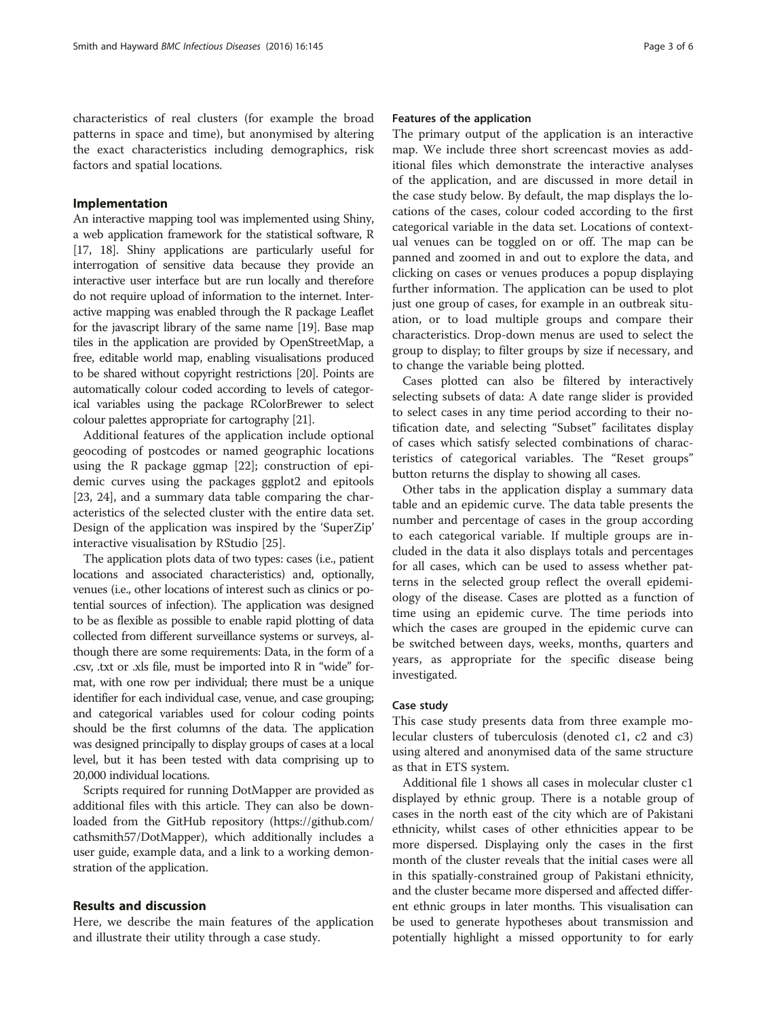characteristics of real clusters (for example the broad patterns in space and time), but anonymised by altering the exact characteristics including demographics, risk factors and spatial locations.

#### Implementation

An interactive mapping tool was implemented using Shiny, a web application framework for the statistical software, R [[17](#page-5-0), [18](#page-5-0)]. Shiny applications are particularly useful for interrogation of sensitive data because they provide an interactive user interface but are run locally and therefore do not require upload of information to the internet. Interactive mapping was enabled through the R package Leaflet for the javascript library of the same name [\[19](#page-5-0)]. Base map tiles in the application are provided by OpenStreetMap, a free, editable world map, enabling visualisations produced to be shared without copyright restrictions [\[20](#page-5-0)]. Points are automatically colour coded according to levels of categorical variables using the package RColorBrewer to select colour palettes appropriate for cartography [\[21](#page-5-0)].

Additional features of the application include optional geocoding of postcodes or named geographic locations using the R package ggmap [\[22\]](#page-5-0); construction of epidemic curves using the packages ggplot2 and epitools [[23, 24](#page-5-0)], and a summary data table comparing the characteristics of the selected cluster with the entire data set. Design of the application was inspired by the 'SuperZip' interactive visualisation by RStudio [\[25](#page-5-0)].

The application plots data of two types: cases (i.e., patient locations and associated characteristics) and, optionally, venues (i.e., other locations of interest such as clinics or potential sources of infection). The application was designed to be as flexible as possible to enable rapid plotting of data collected from different surveillance systems or surveys, although there are some requirements: Data, in the form of a .csv, .txt or .xls file, must be imported into R in "wide" format, with one row per individual; there must be a unique identifier for each individual case, venue, and case grouping; and categorical variables used for colour coding points should be the first columns of the data. The application was designed principally to display groups of cases at a local level, but it has been tested with data comprising up to 20,000 individual locations.

Scripts required for running DotMapper are provided as additional files with this article. They can also be downloaded from the GitHub repository [\(https://github.com/](https://github.com/cathsmith57/DotMapper) [cathsmith57/DotMapper](https://github.com/cathsmith57/DotMapper)), which additionally includes a user guide, example data, and a link to a working demonstration of the application.

## Results and discussion

Here, we describe the main features of the application and illustrate their utility through a case study.

#### Features of the application

The primary output of the application is an interactive map. We include three short screencast movies as additional files which demonstrate the interactive analyses of the application, and are discussed in more detail in the case study below. By default, the map displays the locations of the cases, colour coded according to the first categorical variable in the data set. Locations of contextual venues can be toggled on or off. The map can be panned and zoomed in and out to explore the data, and clicking on cases or venues produces a popup displaying further information. The application can be used to plot just one group of cases, for example in an outbreak situation, or to load multiple groups and compare their characteristics. Drop-down menus are used to select the group to display; to filter groups by size if necessary, and to change the variable being plotted.

Cases plotted can also be filtered by interactively selecting subsets of data: A date range slider is provided to select cases in any time period according to their notification date, and selecting "Subset" facilitates display of cases which satisfy selected combinations of characteristics of categorical variables. The "Reset groups" button returns the display to showing all cases.

Other tabs in the application display a summary data table and an epidemic curve. The data table presents the number and percentage of cases in the group according to each categorical variable. If multiple groups are included in the data it also displays totals and percentages for all cases, which can be used to assess whether patterns in the selected group reflect the overall epidemiology of the disease. Cases are plotted as a function of time using an epidemic curve. The time periods into which the cases are grouped in the epidemic curve can be switched between days, weeks, months, quarters and years, as appropriate for the specific disease being investigated.

#### Case study

This case study presents data from three example molecular clusters of tuberculosis (denoted c1, c2 and c3) using altered and anonymised data of the same structure as that in ETS system.

Additional file [1](#page-4-0) shows all cases in molecular cluster c1 displayed by ethnic group. There is a notable group of cases in the north east of the city which are of Pakistani ethnicity, whilst cases of other ethnicities appear to be more dispersed. Displaying only the cases in the first month of the cluster reveals that the initial cases were all in this spatially-constrained group of Pakistani ethnicity, and the cluster became more dispersed and affected different ethnic groups in later months. This visualisation can be used to generate hypotheses about transmission and potentially highlight a missed opportunity to for early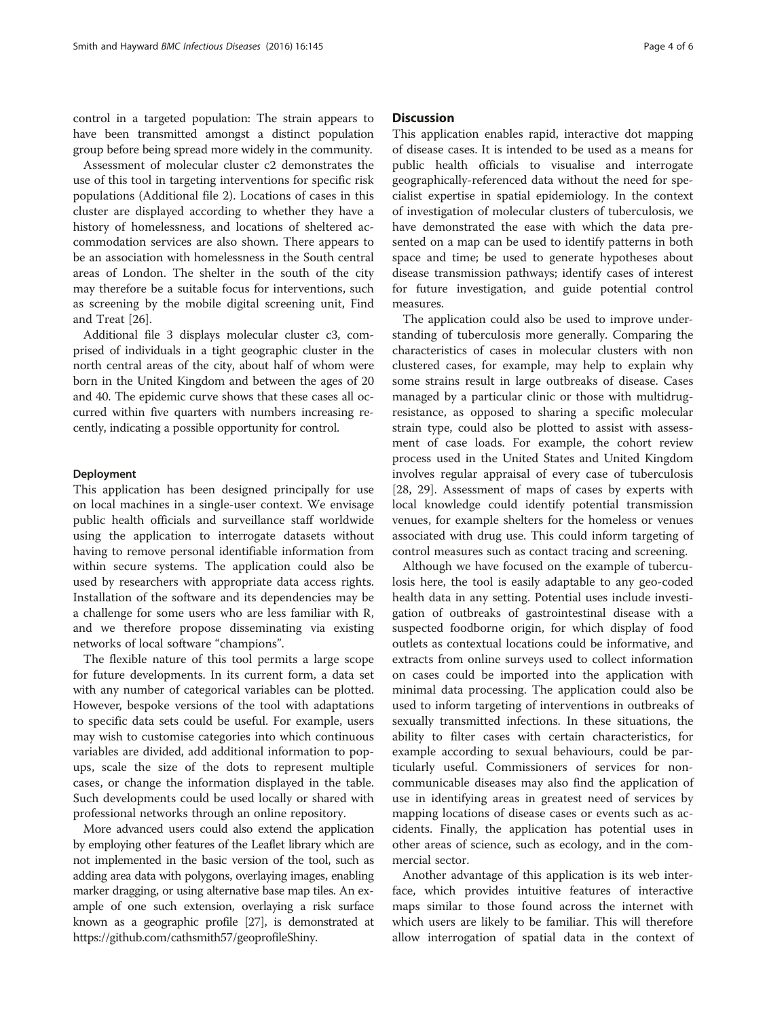control in a targeted population: The strain appears to have been transmitted amongst a distinct population group before being spread more widely in the community.

Assessment of molecular cluster c2 demonstrates the use of this tool in targeting interventions for specific risk populations (Additional file [2\)](#page-4-0). Locations of cases in this cluster are displayed according to whether they have a history of homelessness, and locations of sheltered accommodation services are also shown. There appears to be an association with homelessness in the South central areas of London. The shelter in the south of the city may therefore be a suitable focus for interventions, such as screening by the mobile digital screening unit, Find and Treat [[26\]](#page-5-0).

Additional file [3](#page-4-0) displays molecular cluster c3, comprised of individuals in a tight geographic cluster in the north central areas of the city, about half of whom were born in the United Kingdom and between the ages of 20 and 40. The epidemic curve shows that these cases all occurred within five quarters with numbers increasing recently, indicating a possible opportunity for control.

#### Deployment

This application has been designed principally for use on local machines in a single-user context. We envisage public health officials and surveillance staff worldwide using the application to interrogate datasets without having to remove personal identifiable information from within secure systems. The application could also be used by researchers with appropriate data access rights. Installation of the software and its dependencies may be a challenge for some users who are less familiar with R, and we therefore propose disseminating via existing networks of local software "champions".

The flexible nature of this tool permits a large scope for future developments. In its current form, a data set with any number of categorical variables can be plotted. However, bespoke versions of the tool with adaptations to specific data sets could be useful. For example, users may wish to customise categories into which continuous variables are divided, add additional information to popups, scale the size of the dots to represent multiple cases, or change the information displayed in the table. Such developments could be used locally or shared with professional networks through an online repository.

More advanced users could also extend the application by employing other features of the Leaflet library which are not implemented in the basic version of the tool, such as adding area data with polygons, overlaying images, enabling marker dragging, or using alternative base map tiles. An example of one such extension, overlaying a risk surface known as a geographic profile [\[27](#page-5-0)], is demonstrated at [https://github.com/cathsmith57/geoprofileShiny.](https://github.com/cathsmith57/geoprofileShiny)

### **Discussion**

This application enables rapid, interactive dot mapping of disease cases. It is intended to be used as a means for public health officials to visualise and interrogate geographically-referenced data without the need for specialist expertise in spatial epidemiology. In the context of investigation of molecular clusters of tuberculosis, we have demonstrated the ease with which the data presented on a map can be used to identify patterns in both space and time; be used to generate hypotheses about disease transmission pathways; identify cases of interest for future investigation, and guide potential control measures.

The application could also be used to improve understanding of tuberculosis more generally. Comparing the characteristics of cases in molecular clusters with non clustered cases, for example, may help to explain why some strains result in large outbreaks of disease. Cases managed by a particular clinic or those with multidrugresistance, as opposed to sharing a specific molecular strain type, could also be plotted to assist with assessment of case loads. For example, the cohort review process used in the United States and United Kingdom involves regular appraisal of every case of tuberculosis [[28, 29](#page-5-0)]. Assessment of maps of cases by experts with local knowledge could identify potential transmission venues, for example shelters for the homeless or venues associated with drug use. This could inform targeting of control measures such as contact tracing and screening.

Although we have focused on the example of tuberculosis here, the tool is easily adaptable to any geo-coded health data in any setting. Potential uses include investigation of outbreaks of gastrointestinal disease with a suspected foodborne origin, for which display of food outlets as contextual locations could be informative, and extracts from online surveys used to collect information on cases could be imported into the application with minimal data processing. The application could also be used to inform targeting of interventions in outbreaks of sexually transmitted infections. In these situations, the ability to filter cases with certain characteristics, for example according to sexual behaviours, could be particularly useful. Commissioners of services for noncommunicable diseases may also find the application of use in identifying areas in greatest need of services by mapping locations of disease cases or events such as accidents. Finally, the application has potential uses in other areas of science, such as ecology, and in the commercial sector.

Another advantage of this application is its web interface, which provides intuitive features of interactive maps similar to those found across the internet with which users are likely to be familiar. This will therefore allow interrogation of spatial data in the context of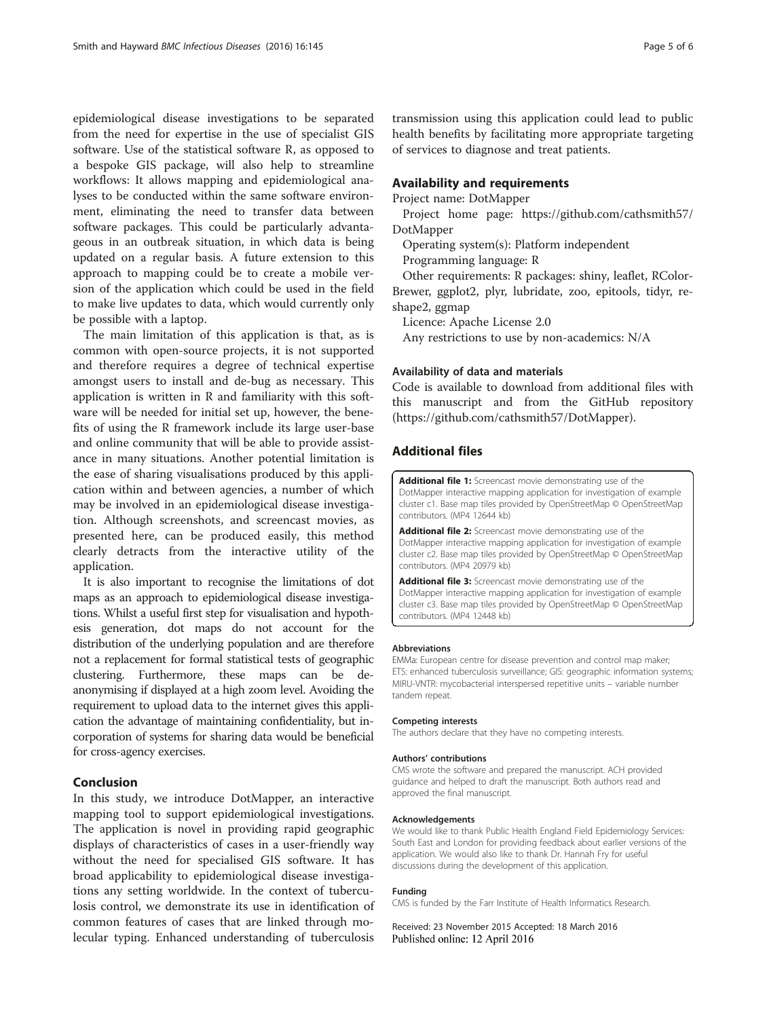<span id="page-4-0"></span>epidemiological disease investigations to be separated from the need for expertise in the use of specialist GIS software. Use of the statistical software R, as opposed to a bespoke GIS package, will also help to streamline workflows: It allows mapping and epidemiological analyses to be conducted within the same software environment, eliminating the need to transfer data between software packages. This could be particularly advantageous in an outbreak situation, in which data is being updated on a regular basis. A future extension to this approach to mapping could be to create a mobile version of the application which could be used in the field to make live updates to data, which would currently only be possible with a laptop.

The main limitation of this application is that, as is common with open-source projects, it is not supported and therefore requires a degree of technical expertise amongst users to install and de-bug as necessary. This application is written in R and familiarity with this software will be needed for initial set up, however, the benefits of using the R framework include its large user-base and online community that will be able to provide assistance in many situations. Another potential limitation is the ease of sharing visualisations produced by this application within and between agencies, a number of which may be involved in an epidemiological disease investigation. Although screenshots, and screencast movies, as presented here, can be produced easily, this method clearly detracts from the interactive utility of the application.

It is also important to recognise the limitations of dot maps as an approach to epidemiological disease investigations. Whilst a useful first step for visualisation and hypothesis generation, dot maps do not account for the distribution of the underlying population and are therefore not a replacement for formal statistical tests of geographic clustering. Furthermore, these maps can be deanonymising if displayed at a high zoom level. Avoiding the requirement to upload data to the internet gives this application the advantage of maintaining confidentiality, but incorporation of systems for sharing data would be beneficial for cross-agency exercises.

## Conclusion

In this study, we introduce DotMapper, an interactive mapping tool to support epidemiological investigations. The application is novel in providing rapid geographic displays of characteristics of cases in a user-friendly way without the need for specialised GIS software. It has broad applicability to epidemiological disease investigations any setting worldwide. In the context of tuberculosis control, we demonstrate its use in identification of common features of cases that are linked through molecular typing. Enhanced understanding of tuberculosis

transmission using this application could lead to public health benefits by facilitating more appropriate targeting of services to diagnose and treat patients.

#### Availability and requirements

Project name: DotMapper

Project home page: [https://github.com/cathsmith57/](https://github.com/cathsmith57/DotMapper) [DotMapper](https://github.com/cathsmith57/DotMapper)

Operating system(s): Platform independent

Programming language: R

Other requirements: R packages: shiny, leaflet, RColor-Brewer, ggplot2, plyr, lubridate, zoo, epitools, tidyr, reshape2, ggmap

Licence: Apache License 2.0

Any restrictions to use by non-academics: N/A

#### Availability of data and materials

Code is available to download from additional files with this manuscript and from the GitHub repository ([https://github.com/cathsmith57/DotMapper\)](https://github.com/cathsmith57/DotMapper).

## Additional files

[Additional file 1:](dx.doi.org/10.1186/s12879-016-1475-5) Screencast movie demonstrating use of the DotMapper interactive mapping application for investigation of example cluster c1. Base map tiles provided by OpenStreetMap © OpenStreetMap contributors. (MP4 12644 kb)

[Additional file 2:](dx.doi.org/10.1186/s12879-016-1475-5) Screencast movie demonstrating use of the DotMapper interactive mapping application for investigation of example cluster c2. Base map tiles provided by OpenStreetMap © OpenStreetMap contributors. (MP4 20979 kb)

[Additional file 3:](dx.doi.org/10.1186/s12879-016-1475-5) Screencast movie demonstrating use of the DotMapper interactive mapping application for investigation of example cluster c3. Base map tiles provided by OpenStreetMap © OpenStreetMap contributors. (MP4 12448 kb)

#### Abbreviations

EMMa: European centre for disease prevention and control map maker; ETS: enhanced tuberculosis surveillance; GIS: geographic information systems; MIRU-VNTR: mycobacterial interspersed repetitive units – variable number tandem repeat.

#### Competing interests

The authors declare that they have no competing interests.

#### Authors' contributions

CMS wrote the software and prepared the manuscript. ACH provided guidance and helped to draft the manuscript. Both authors read and approved the final manuscript.

#### Acknowledgements

We would like to thank Public Health England Field Epidemiology Services: South East and London for providing feedback about earlier versions of the application. We would also like to thank Dr. Hannah Fry for useful discussions during the development of this application.

#### Funding

CMS is funded by the Farr Institute of Health Informatics Research.

Received: 23 November 2015 Accepted: 18 March 2016 Published online: 12 April 2016